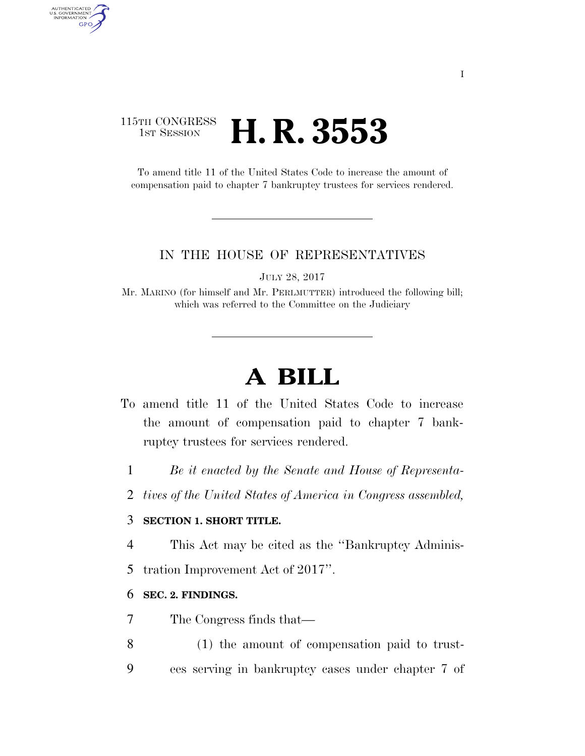## 115TH CONGRESS **1st Session H. R. 3553**

AUTHENTICATED<br>U.S. GOVERNMENT<br>INFORMATION GPO

> To amend title 11 of the United States Code to increase the amount of compensation paid to chapter 7 bankruptcy trustees for services rendered.

#### IN THE HOUSE OF REPRESENTATIVES

JULY 28, 2017

Mr. MARINO (for himself and Mr. PERLMUTTER) introduced the following bill; which was referred to the Committee on the Judiciary

# **A BILL**

- To amend title 11 of the United States Code to increase the amount of compensation paid to chapter 7 bankruptcy trustees for services rendered.
	- 1 *Be it enacted by the Senate and House of Representa-*
	- 2 *tives of the United States of America in Congress assembled,*

### 3 **SECTION 1. SHORT TITLE.**

- 4 This Act may be cited as the ''Bankruptcy Adminis-
- 5 tration Improvement Act of 2017''.

### 6 **SEC. 2. FINDINGS.**

- 7 The Congress finds that—
- 8 (1) the amount of compensation paid to trust-9 ees serving in bankruptcy cases under chapter 7 of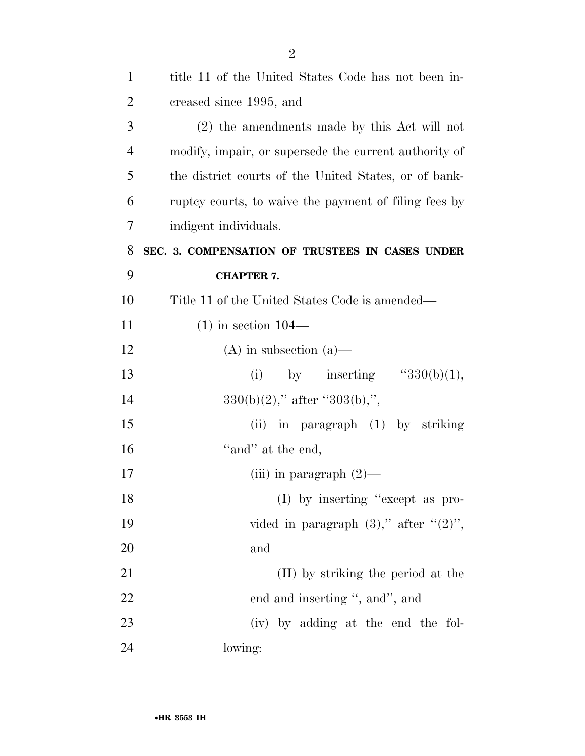| $\mathbf{1}$   | title 11 of the United States Code has not been in-   |
|----------------|-------------------------------------------------------|
| $\overline{2}$ | creased since 1995, and                               |
| 3              | $(2)$ the amendments made by this Act will not        |
| $\overline{4}$ | modify, impair, or supersede the current authority of |
| 5              | the district courts of the United States, or of bank- |
| 6              | ruptcy courts, to waive the payment of filing fees by |
| 7              | indigent individuals.                                 |
| 8              | SEC. 3. COMPENSATION OF TRUSTEES IN CASES UNDER       |
| 9              | <b>CHAPTER 7.</b>                                     |
| 10             | Title 11 of the United States Code is amended—        |
| 11             | $(1)$ in section $104-$                               |
| 12             | $(A)$ in subsection $(a)$ —                           |
| 13             | (i) by inserting $\text{``}330(b)(1),$                |
| 14             | $330(b)(2)$ ," after "303(b),",                       |
| 15             | (ii) in paragraph (1) by striking                     |
| 16             | "and" at the end,                                     |
| 17             | (iii) in paragraph $(2)$ —                            |
| 18             | (I) by inserting "except as pro-                      |
| 19             | vided in paragraph $(3)$ ," after " $(2)$ ",          |
| 20             | and                                                   |
| 21             | (II) by striking the period at the                    |
| 22             | end and inserting ", and", and                        |
| 23             | (iv) by adding at the end the fol-                    |
| 24             | lowing:                                               |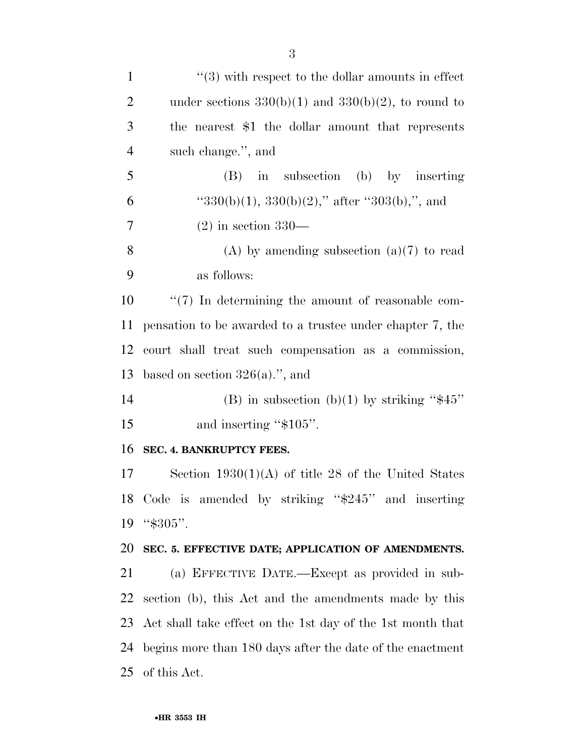| $\mathbf{1}$   | $\cdot\cdot$ (3) with respect to the dollar amounts in effect |
|----------------|---------------------------------------------------------------|
| $\overline{2}$ | under sections $330(b)(1)$ and $330(b)(2)$ , to round to      |
| 3              | the nearest \$1 the dollar amount that represents             |
| $\overline{4}$ | such change.", and                                            |
| 5              | in subsection (b) by inserting<br>(B)                         |
| 6              | " $330(b)(1)$ , $330(b)(2)$ ," after " $303(b)$ ,", and       |
| 7              | $(2)$ in section 330—                                         |
| 8              | (A) by amending subsection $(a)(7)$ to read                   |
| 9              | as follows:                                                   |
| 10             | $\lq(7)$ In determining the amount of reasonable com-         |
| 11             | pensation to be awarded to a trustee under chapter 7, the     |
| 12             | court shall treat such compensation as a commission,          |
| 13             | based on section $326(a)$ .", and                             |
| 14             | (B) in subsection (b)(1) by striking " $$45"$                 |
| 15             | and inserting "\$105".                                        |
| 16             | SEC. 4. BANKRUPTCY FEES.                                      |
| 17             | Section $1930(1)(A)$ of title 28 of the United States         |
|                | 18 Code is amended by striking "\$245" and inserting          |
| 19             | "\$305".                                                      |
| 20             | SEC. 5. EFFECTIVE DATE; APPLICATION OF AMENDMENTS.            |
| 21             | (a) EFFECTIVE DATE.—Except as provided in sub-                |
| 22             | section (b), this Act and the amendments made by this         |
| 23             | Act shall take effect on the 1st day of the 1st month that    |
| 24             | begins more than 180 days after the date of the enactment     |
| 25             | of this Act.                                                  |